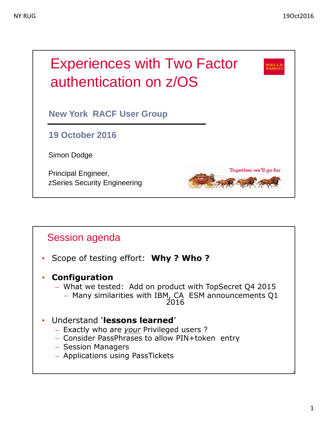

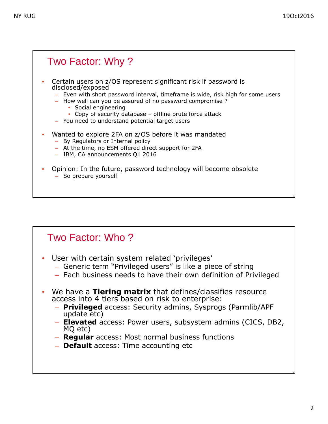#### Two Factor: Why ? 3 • Certain users on z/OS represent significant risk if password is disclosed/exposed – Even with short password interval, timeframe is wide, risk high for some users – How well can you be assured of no password compromise ? • Social engineering • Copy of security database – offline brute force attack – You need to understand potential target users • Wanted to explore 2FA on z/OS before it was mandated – By Regulators or Internal policy – At the time, no ESM offered direct support for 2FA – IBM, CA announcements Q1 2016 • Opinion: In the future, password technology will become obsolete – So prepare yourself

#### Two Factor: Who ?

- User with certain system related 'privileges'
	- Generic term "Privileged users" is like a piece of string
	- Each business needs to have their own definition of Privileged
- We have a **Tiering matrix** that defines/classifies resource access into 4 tiers based on risk to enterprise:
	- **Privileged** access: Security admins, Sysprogs (Parmlib/APF update etc)
	- **Elevated** access: Power users, subsystem admins (CICS, DB2, MQ etc)
	- **Regular** access: Most normal business functions
	- **Default** access: Time accounting etc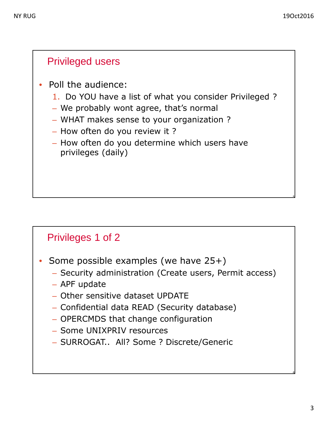#### Privileged users

- Poll the audience:
	- 1. Do YOU have a list of what you consider Privileged ?
	- We probably wont agree, that's normal
	- WHAT makes sense to your organization ?
	- How often do you review it ?
	- How often do you determine which users have privileges (daily)

#### Privileges 1 of 2

- Some possible examples (we have 25+)
	- Security administration (Create users, Permit access)
	- APF update
	- Other sensitive dataset UPDATE
	- Confidential data READ (Security database)
	- OPERCMDS that change configuration
	- Some UNIXPRIV resources
	- SURROGAT.. All? Some ? Discrete/Generic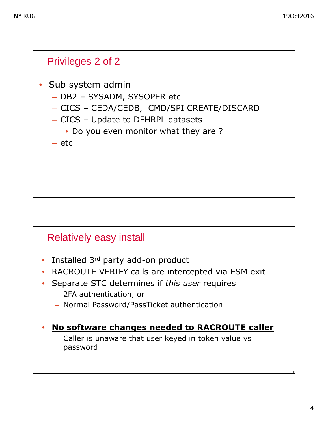

### Relatively easy install

- Installed 3<sup>rd</sup> party add-on product
- RACROUTE VERIFY calls are intercepted via ESM exit
- Separate STC determines if *this user* requires
	- 2FA authentication, or
	- Normal Password/PassTicket authentication

#### • **No software changes needed to RACROUTE caller**

– Caller is unaware that user keyed in token value vs password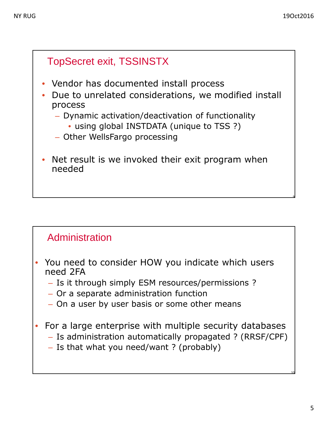

#### Administration

- You need to consider HOW you indicate which users need 2FA
	- Is it through simply ESM resources/permissions ?
	- Or a separate administration function
	- On a user by user basis or some other means
- For a large enterprise with multiple security databases
	- Is administration automatically propagated ? (RRSF/CPF)
	- Is that what you need/want ? (probably)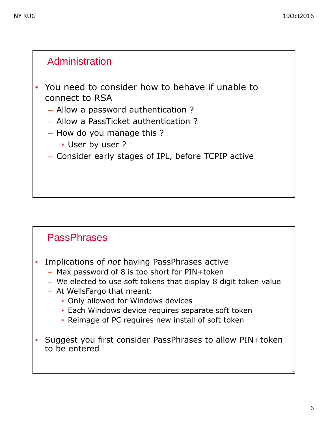#### Administration

- You need to consider how to behave if unable to connect to RSA
	- Allow a password authentication ?
	- Allow a PassTicket authentication ?
	- How do you manage this ?
		- User by user ?
	- Consider early stages of IPL, before TCPIP active

#### **PassPhrases**

- Implications of *not* having PassPhrases active
	- Max password of 8 is too short for PIN+token
	- We elected to use soft tokens that display 8 digit token value
	- At WellsFargo that meant:
		- Only allowed for Windows devices
		- Each Windows device requires separate soft token
		- Reimage of PC requires new install of soft token
- Suggest you first consider PassPhrases to allow PIN+token to be entered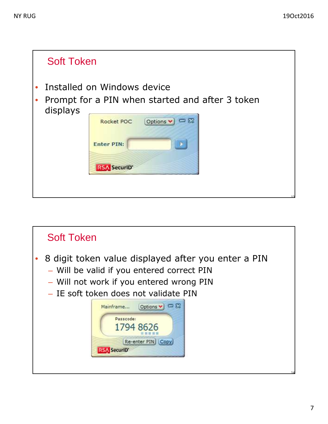

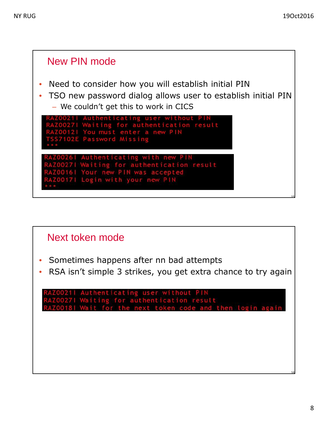![](_page_7_Figure_2.jpeg)

![](_page_7_Figure_3.jpeg)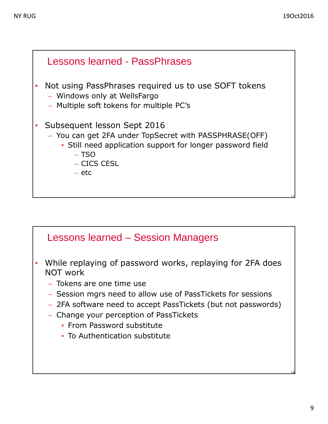![](_page_8_Figure_2.jpeg)

#### Lessons learned – Session Managers

- While replaying of password works, replaying for 2FA does NOT work
	- Tokens are one time use
	- Session mgrs need to allow use of PassTickets for sessions
	- 2FA software need to accept PassTickets (but not passwords)
	- Change your perception of PassTickets
		- From Password substitute
		- To Authentication substitute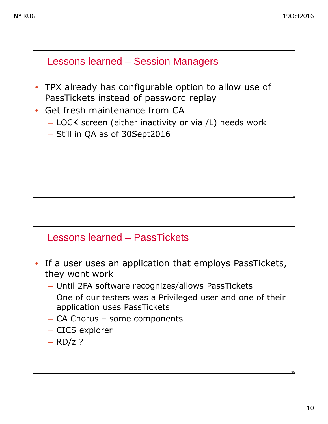![](_page_9_Figure_2.jpeg)

#### Lessons learned – PassTickets

- If a user uses an application that employs PassTickets, they wont work
	- Until 2FA software recognizes/allows PassTickets
	- One of our testers was a Privileged user and one of their application uses PassTickets
	- CA Chorus some components
	- CICS explorer
	- $-$  RD/z ?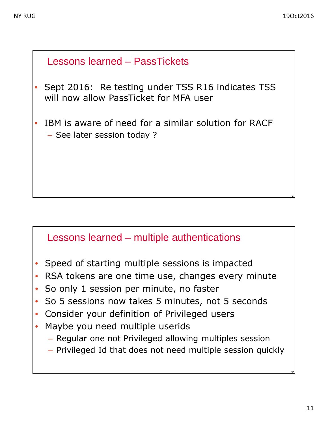# Lessons learned – PassTickets Sept 2016: Re testing under TSS R16 indicates TSS will now allow PassTicket for MFA user IBM is aware of need for a similar solution for RACF – See later session today ?

#### Lessons learned – multiple authentications

- Speed of starting multiple sessions is impacted
- RSA tokens are one time use, changes every minute
- So only 1 session per minute, no faster
- So 5 sessions now takes 5 minutes, not 5 seconds
- Consider your definition of Privileged users
- Maybe you need multiple userids
	- Regular one not Privileged allowing multiples session
	- Privileged Id that does not need multiple session quickly